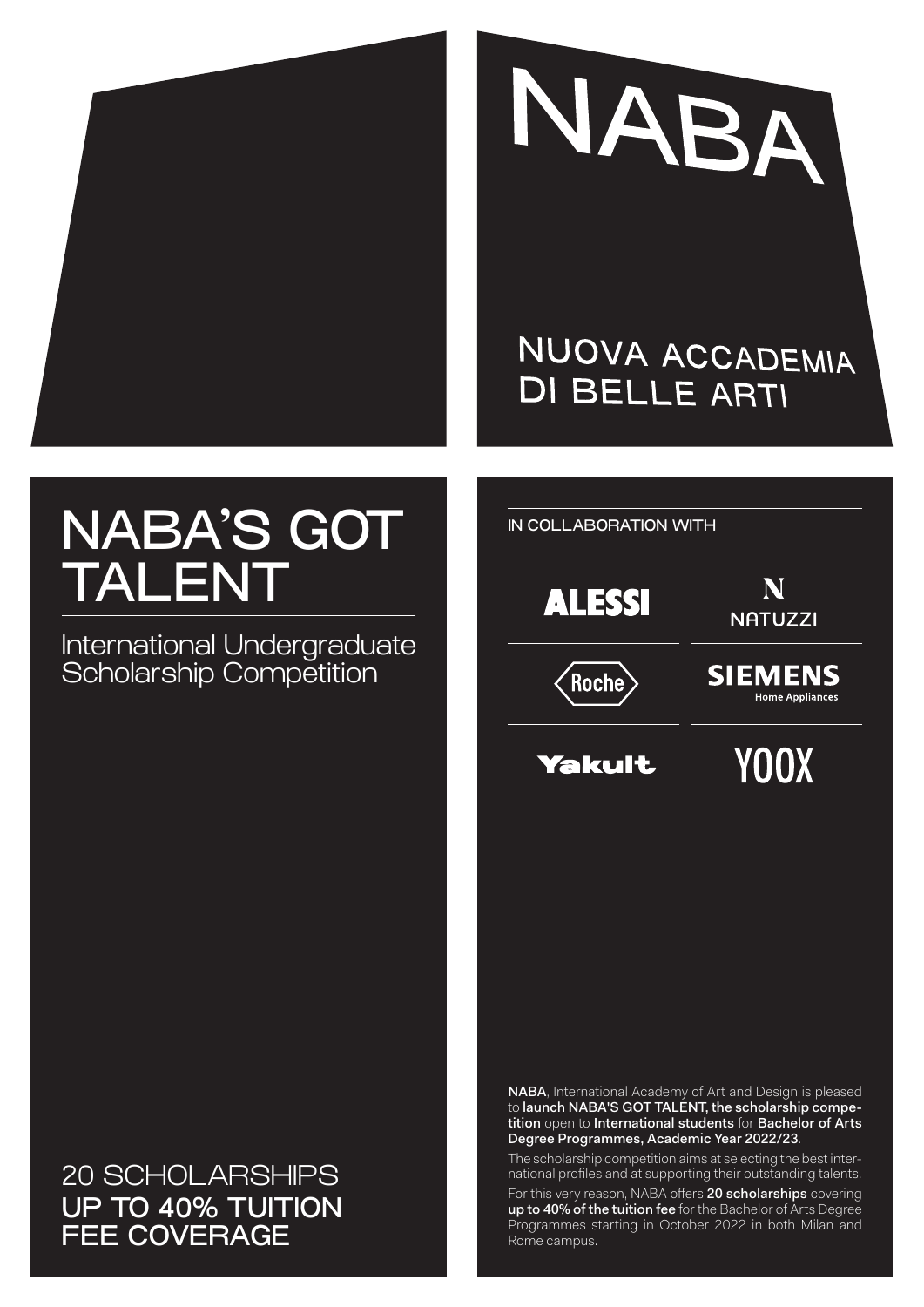



## NUOVA ACCADEMIA **DI BELLE ARTI**

# NABA'S GOT TALENT

International Undergraduate Scholarship Competition

20 SCHOLARSHIPS UP TO 40% TUITION FEE COVERAGE



NABA, International Academy of Art and Design is pleased to launch NABA'S GOT TALENT, the scholarship competition open to International students for Bachelor of Arts Degree Programmes, Academic Year 2022/23.

The scholarship competition aims at selecting the best international profiles and at supporting their outstanding talents.

For this very reason, NABA offers 20 scholarships covering up to 40% of the tuition fee for the Bachelor of Arts Degree Programmes starting in October 2022 in both Milan and Rome campus.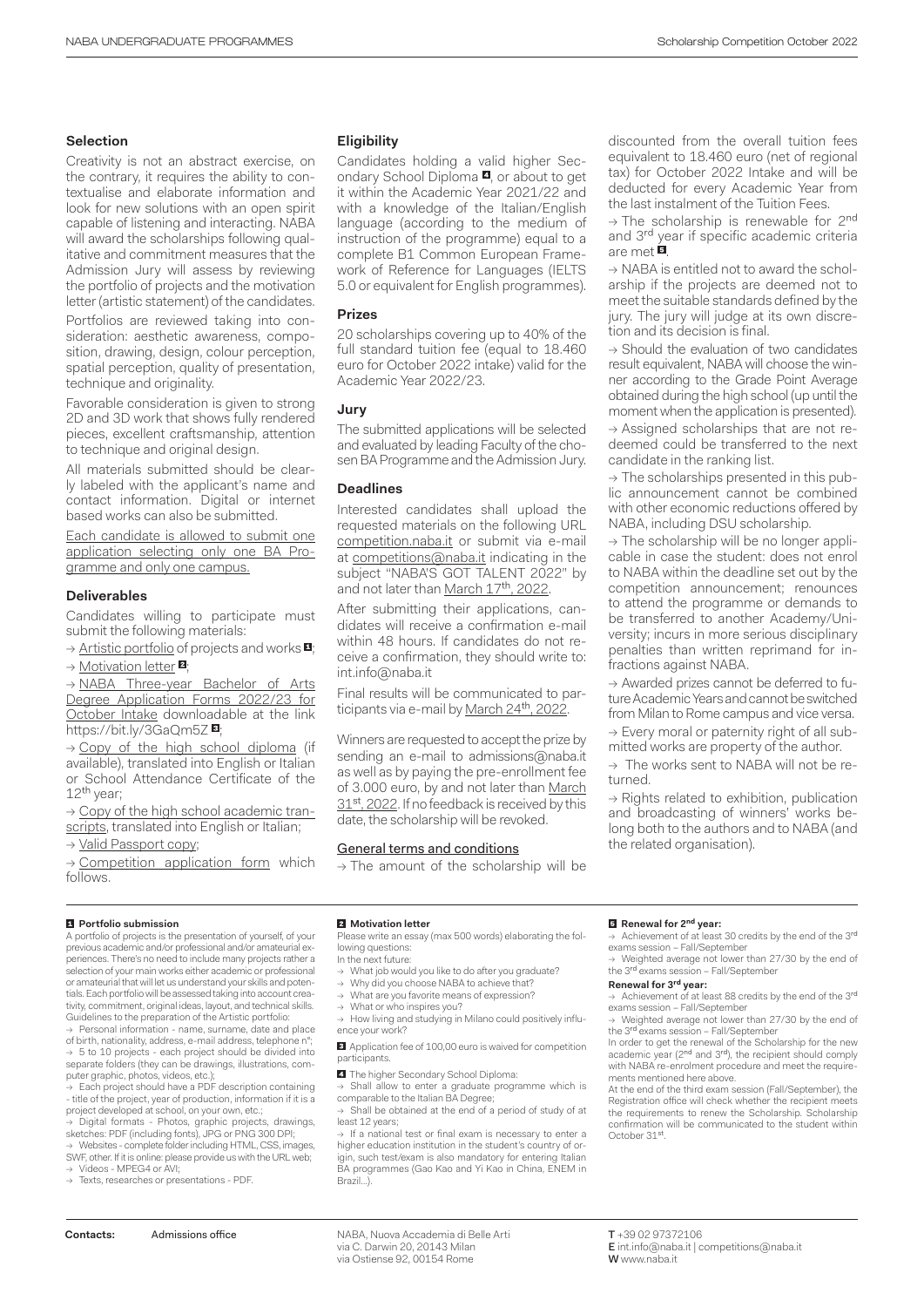#### **Selection**

Creativity is not an abstract exercise, on the contrary, it requires the ability to contextualise and elaborate information and look for new solutions with an open spirit capable of listening and interacting. NABA will award the scholarships following qualitative and commitment measures that the Admission Jury will assess by reviewing the portfolio of projects and the motivation letter (artistic statement) of the candidates.

Portfolios are reviewed taking into consideration: aesthetic awareness, composition, drawing, design, colour perception, spatial perception, quality of presentation, technique and originality.

Favorable consideration is given to strong 2D and 3D work that shows fully rendered pieces, excellent craftsmanship, attention to technique and original design.

All materials submitted should be clearly labeled with the applicant's name and contact information. Digital or internet based works can also be submitted.

Each candidate is allowed to submit one application selecting only one BA Programme and only one campus.

#### **Deliverables**

Candidates willing to participate must submit the following materials:

 $\rightarrow$  Artistic portfolio of projects and works  $\blacksquare$ 

→ Motivation letter <sup>2</sup>

→ NABA Three-year Bachelor of Arts Degree Application Forms 2022/23 for October Intake downloadable at the link https://bit.ly/3GaQm5Z

→ Copy of the high school diploma (if available), translated into English or Italian or School Attendance Certificate of the 12th year;

 $\rightarrow$  Copy of the high school academic transcripts, translated into English or Italian;

→ Valid Passport copy;

 $\rightarrow$  Competition application form which follows.

#### **Eligibility**

Candidates holding a valid higher Secondary School Diploma **4**, or about to get it within the Academic Year 2021/22 and with a knowledge of the Italian/English language (according to the medium of instruction of the programme) equal to a complete B1 Common European Framework of Reference for Languages (IELTS 5.0 or equivalent for English programmes).

#### **Prizes**

20 scholarships covering up to 40% of the full standard tuition fee (equal to 18.460 euro for October 2022 intake) valid for the Academic Year 2022/23.

#### **Jury**

The submitted applications will be selected and evaluated by leading Faculty of the chosen BA Programme and the Admission Jury.

#### **Deadlines**

Interested candidates shall upload the requested materials on the following URL competition.naba.it or submit via e-mail at competitions@naba.it indicating in the subject "NABA'S GOT TALENT 2022" by and not later than March 17<sup>th</sup>, 2022.

After submitting their applications, candidates will receive a confirmation e-mail within 48 hours. If candidates do not receive a confirmation, they should write to: int.info@naba.it

Final results will be communicated to participants via e-mail by March 24<sup>th</sup>, 2022

Winners are requested to accept the prize by sending an e-mail to admissions@naba.it as well as by paying the pre-enrollment fee of 3.000 euro, by and not later than March 31<sup>st</sup>, 2022. If no feedback is received by this date, the scholarship will be revoked.

#### General terms and conditions

 $\rightarrow$  The amount of the scholarship will be

discounted from the overall tuition fees equivalent to 18.460 euro (net of regional tax) for October 2022 Intake and will be deducted for every Academic Year from the last instalment of the Tuition Fees.

→ The scholarship is renewable for 2nd and 3<sup>rd</sup> year if specific academic criteria are met  $\overline{\mathbf{B}}$ 

 $\rightarrow$  NABA is entitled not to award the scholarship if the projects are deemed not to meet the suitable standards defined by the jury. The jury will judge at its own discretion and its decision is final.

→ Should the evaluation of two candidates result equivalent, NABA will choose the winner according to the Grade Point Average obtained during the high school (up until the moment when the application is presented).

→ Assigned scholarships that are not redeemed could be transferred to the next candidate in the ranking list.

 $\rightarrow$  The scholarships presented in this public announcement cannot be combined with other economic reductions offered by NABA, including DSU scholarship.

→ The scholarship will be no longer applicable in case the student: does not enrol to NABA within the deadline set out by the competition announcement; renounces to attend the programme or demands to be transferred to another Academy/University; incurs in more serious disciplinary penalties than written reprimand for infractions against NABA.

→ Awarded prizes cannot be deferred to future Academic Years and cannot be switched from Milan to Rome campus and vice versa.

 $\rightarrow$  Every moral or paternity right of all submitted works are property of the author.

→ The works sent to NABA will not be returned.

 $\rightarrow$  Rights related to exhibition, publication and broadcasting of winners' works belong both to the authors and to NABA (and the related organisation).

#### **Portfolio submission**

A portfolio of projects is the presentation of yourself, of your previous academic and/or professional and/or amateurial experiences. There's no need to include many projects rather a selection of your main works either academic or professional or amateurial that will let us understand your skills and potentials. Each portfolio will be assessed taking into account creativity, commitment, original ideas, layout, and technical skills. Guidelines to the preparation of the Artistic portfolio:

Personal information - name, surname, date and place of birth, nationality, address, e-mail address, telephone n°; → 5 to 10 projects - each project should be divided into separate folders (they can be drawings, illustrations, com-

puter graphic, photos, videos, etc.); → Each project should have a PDF description containing - title of the project, year of production, information if it is a project developed at school, on your own, etc.;

→ Digital formats - Photos, graphic projects, drawings,<br>sketches: PDF (including fonts), JPG or PNG 300 DPI;

→ Websites - complete folder including HTML, CSS, images SWF, other. If it is online: please provide us with the URL web; → Videos - MPEG4 or AVI;

→ Texts, researches or presentations - PDF.

#### **Motivation letter**

Please write an essay (max 500 words) elaborating the following questions:

In the next future:

- What job would you like to do after you graduate? Why did you choose NABA to achieve that?
- 
- → What are you favorite means of expression? → What or who inspires you?

 $\rightarrow$  How living and studying in Milano could positively influence your work?

**<sup>8</sup>** Application fee of 100,00 euro is waived for competition participants.

**4** The higher Secondary School Diploma:

 $\rightarrow$  Shall allow to enter a graduate programme which is comparable to the Italian BA Degree;

→ Shall be obtained at the end of a period of study of at least 12 years;

→ If a national test or final exam is necessary to enter a higher education institution in the student's country of origin, such test/exam is also mandatory for entering Italian BA programmes (Gao Kao and Yi Kao in China, ENEM in Brazil…).

NABA, Nuova Accademia di Belle Arti **Contacts:** Admissions office T +39 02 97372106 via C. Darwin 20, 20143 Milan via Ostiense 92, 00154 Rome

#### **Renewal for 2nd year:**

→ Achievement of at least 30 credits by the end of the 3rd exams session – Fall/September

Weighted average not lower than 27/30 by the end of the 3<sup>rd</sup> exams session - Fall/September

#### **Renewal for 3rd year:**

→ Achievement of at least 88 credits by the end of the 3rd exams session – Fall/September

Weighted average not lower than 27/30 by the end of the 3<sup>rd</sup> exams session - Fall/September In order to get the renewal of the Scholarship for the new

academic year (2<sup>nd</sup> and 3<sup>rd</sup>), the recipient should comply with NABA re-enrolment procedure and meet the requirements mentioned here above.

At the end of the third exam session (Fall/September), the Registration office will check whether the recipient meets the requirements to renew the Scholarship. Scholarship confirmation will be communicated to the student within October 31st.